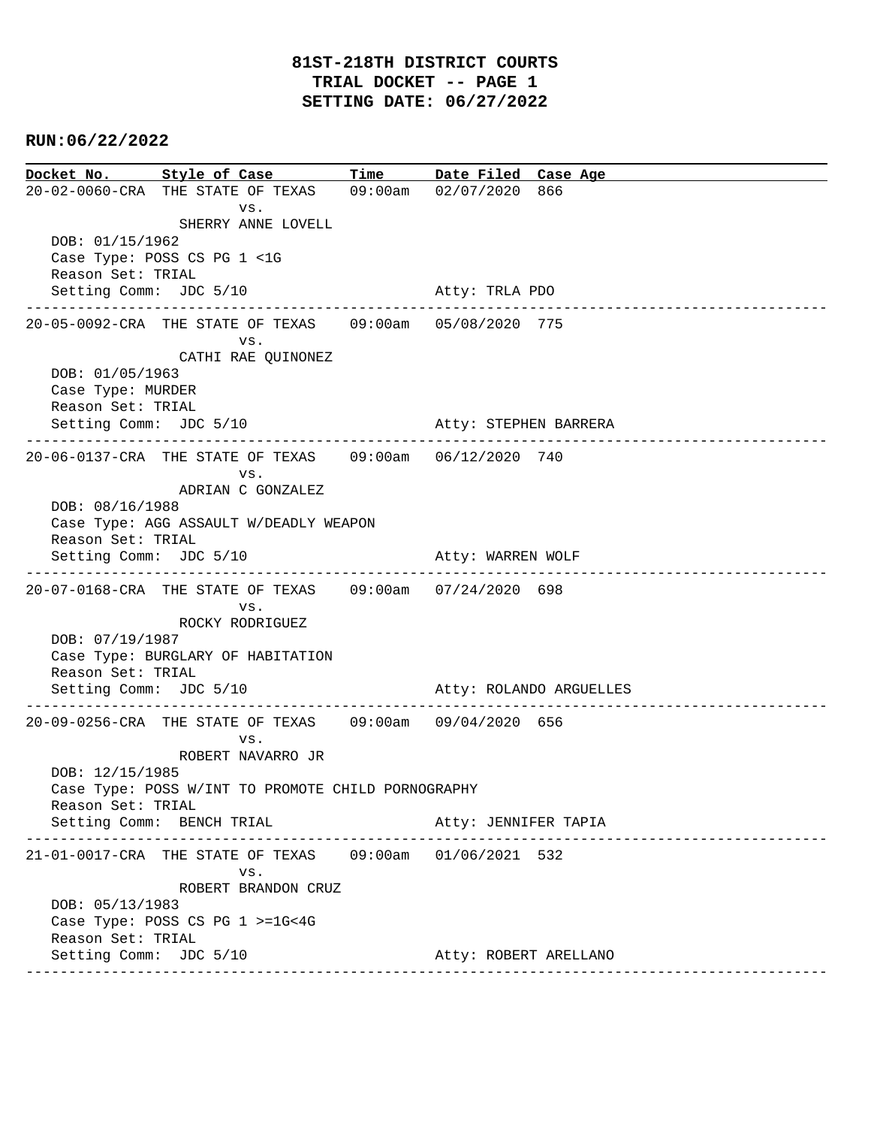# **RUN:06/22/2022**

**Docket No. Style of Case Time Date Filed Case Age**  20-02-0060-CRA THE STATE OF TEXAS 09:00am 02/07/2020 866 vs. SHERRY ANNE LOVELL DOB: 01/15/1962 Case Type: POSS CS PG 1 <1G Reason Set: TRIAL Setting Comm: JDC 5/10 Atty: TRLA PDO ---------------------------------------------------------------------------------------------- 20-05-0092-CRA THE STATE OF TEXAS 09:00am 05/08/2020 775 vs. CATHI RAE QUINONEZ DOB: 01/05/1963 Case Type: MURDER Reason Set: TRIAL Setting Comm: JDC 5/10 Atty: STEPHEN BARRERA ---------------------------------------------------------------------------------------------- 20-06-0137-CRA THE STATE OF TEXAS 09:00am 06/12/2020 740 vs. ADRIAN C GONZALEZ DOB: 08/16/1988 Case Type: AGG ASSAULT W/DEADLY WEAPON Reason Set: TRIAL Setting Comm: JDC 5/10 Atty: WARREN WOLF ---------------------------------------------------------------------------------------------- 20-07-0168-CRA THE STATE OF TEXAS 09:00am 07/24/2020 698 vs. ROCKY RODRIGUEZ DOB: 07/19/1987 Case Type: BURGLARY OF HABITATION Reason Set: TRIAL Setting Comm: JDC 5/10 Atty: ROLANDO ARGUELLES ---------------------------------------------------------------------------------------------- 20-09-0256-CRA THE STATE OF TEXAS 09:00am 09/04/2020 656 vs. ROBERT NAVARRO JR DOB: 12/15/1985 Case Type: POSS W/INT TO PROMOTE CHILD PORNOGRAPHY Reason Set: TRIAL Setting Comm: BENCH TRIAL Atty: JENNIFER TAPIA ---------------------------------------------------------------------------------------------- 21-01-0017-CRA THE STATE OF TEXAS 09:00am 01/06/2021 532 vs. ROBERT BRANDON CRUZ DOB: 05/13/1983 Case Type: POSS CS PG 1 >=1G<4G Reason Set: TRIAL Setting Comm: JDC 5/10 Atty: ROBERT ARELLANO ----------------------------------------------------------------------------------------------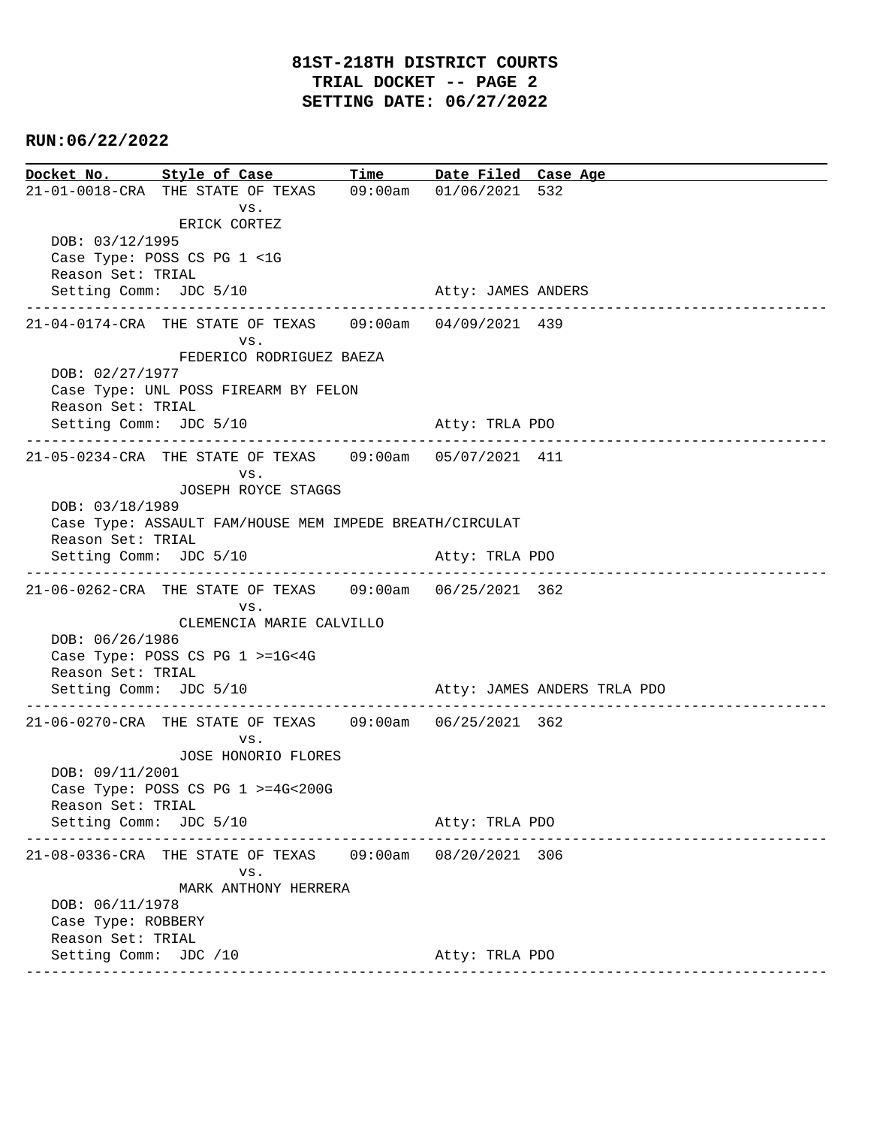# **RUN:06/22/2022**

**Docket No. Style of Case Time Date Filed Case Age**  21-01-0018-CRA THE STATE OF TEXAS 09:00am 01/06/2021 532 vs. ERICK CORTEZ DOB: 03/12/1995 Case Type: POSS CS PG 1 <1G Reason Set: TRIAL Setting Comm: JDC 5/10 Atty: JAMES ANDERS ---------------------------------------------------------------------------------------------- 21-04-0174-CRA THE STATE OF TEXAS 09:00am 04/09/2021 439 vs. FEDERICO RODRIGUEZ BAEZA DOB: 02/27/1977 Case Type: UNL POSS FIREARM BY FELON Reason Set: TRIAL Setting Comm: JDC 5/10 Atty: TRLA PDO ---------------------------------------------------------------------------------------------- 21-05-0234-CRA THE STATE OF TEXAS 09:00am 05/07/2021 411 vs. JOSEPH ROYCE STAGGS DOB: 03/18/1989 Case Type: ASSAULT FAM/HOUSE MEM IMPEDE BREATH/CIRCULAT Reason Set: TRIAL Setting Comm: JDC 5/10 Atty: TRLA PDO ---------------------------------------------------------------------------------------------- 21-06-0262-CRA THE STATE OF TEXAS 09:00am 06/25/2021 362 vs. CLEMENCIA MARIE CALVILLO DOB: 06/26/1986 Case Type: POSS CS PG 1 >=1G<4G Reason Set: TRIAL Setting Comm: JDC 5/10 Atty: JAMES ANDERS TRLA PDO ---------------------------------------------------------------------------------------------- 21-06-0270-CRA THE STATE OF TEXAS 09:00am 06/25/2021 362 vs. JOSE HONORIO FLORES DOB: 09/11/2001 Case Type: POSS CS PG 1 >=4G<200G Reason Set: TRIAL Setting Comm: JDC 5/10 Atty: TRLA PDO ---------------------------------------------------------------------------------------------- 21-08-0336-CRA THE STATE OF TEXAS 09:00am 08/20/2021 306 vs. MARK ANTHONY HERRERA DOB: 06/11/1978 Case Type: ROBBERY Reason Set: TRIAL Setting Comm: JDC /10 Atty: TRLA PDO ----------------------------------------------------------------------------------------------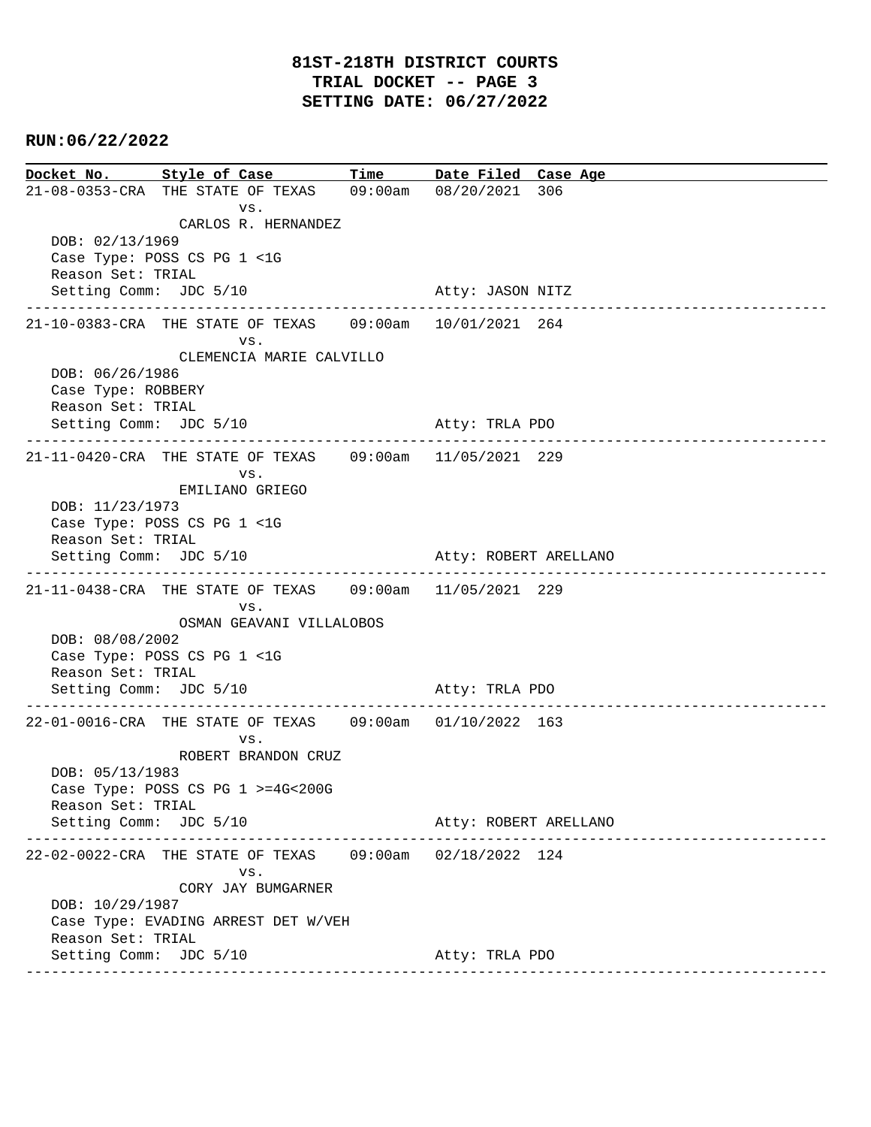# **RUN:06/22/2022**

**Docket No. Style of Case Time Date Filed Case Age**  21-08-0353-CRA THE STATE OF TEXAS 09:00am 08/20/2021 306 vs. CARLOS R. HERNANDEZ DOB: 02/13/1969 Case Type: POSS CS PG 1 <1G Reason Set: TRIAL Setting Comm: JDC 5/10 Atty: JASON NITZ ---------------------------------------------------------------------------------------------- 21-10-0383-CRA THE STATE OF TEXAS 09:00am 10/01/2021 264 vs. CLEMENCIA MARIE CALVILLO DOB: 06/26/1986 Case Type: ROBBERY Reason Set: TRIAL Setting Comm: JDC 5/10 Atty: TRLA PDO ---------------------------------------------------------------------------------------------- 21-11-0420-CRA THE STATE OF TEXAS 09:00am 11/05/2021 229 vs. EMILIANO GRIEGO DOB: 11/23/1973 Case Type: POSS CS PG 1 <1G Reason Set: TRIAL Setting Comm: JDC 5/10 Atty: ROBERT ARELLANO ---------------------------------------------------------------------------------------------- 21-11-0438-CRA THE STATE OF TEXAS 09:00am 11/05/2021 229 vs. OSMAN GEAVANI VILLALOBOS DOB: 08/08/2002 Case Type: POSS CS PG 1 <1G Reason Set: TRIAL Setting Comm: JDC 5/10 Atty: TRLA PDO ---------------------------------------------------------------------------------------------- 22-01-0016-CRA THE STATE OF TEXAS 09:00am 01/10/2022 163 vs. ROBERT BRANDON CRUZ DOB: 05/13/1983 Case Type: POSS CS PG 1 >=4G<200G Reason Set: TRIAL Setting Comm: JDC 5/10 Atty: ROBERT ARELLANO ---------------------------------------------------------------------------------------------- 22-02-0022-CRA THE STATE OF TEXAS 09:00am 02/18/2022 124 vs. CORY JAY BUMGARNER DOB: 10/29/1987 Case Type: EVADING ARREST DET W/VEH Reason Set: TRIAL Setting Comm: JDC 5/10 Atty: TRLA PDO ----------------------------------------------------------------------------------------------